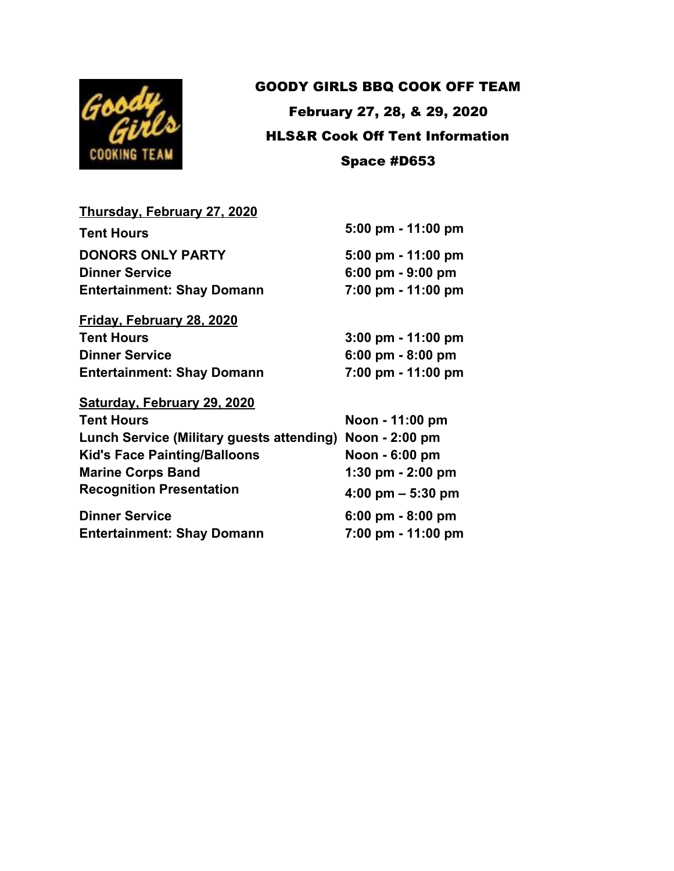

## GOODY GIRLS BBQ COOK OFF TEAM February 27, 28, & 29, 2020 HLS&R Cook Off Tent Information Space #D653

## **Thursday, February 27, 2020 Tent Hours 5:00 pm - 11:00 pm DONORS ONLY PARTY 5:00 pm - 11:00 pm Dinner Service 6:00 pm - 9:00 pm Entertainment: Shay Domann 7:00 pm - 11:00 pm Friday, February 28, 2020 Tent Hours 3:00 pm - 11:00 pm Dinner Service 6:00 pm - 8:00 pm Entertainment: Shay Domann 7:00 pm - 11:00 pm Saturday, February 29, 2020 Tent Hours Noon - 11:00 pm Lunch Service (Military guests attending) Noon - 2:00 pm Kid's Face Painting/Balloons Noon - 6:00 pm Marine Corps Band 1:30 pm - 2:00 pm Recognition Presentation 4:00 pm – 5:30 pm Dinner Service 6:00 pm - 8:00 pm**

**Entertainment: Shay Domann 7:00 pm - 11:00 pm**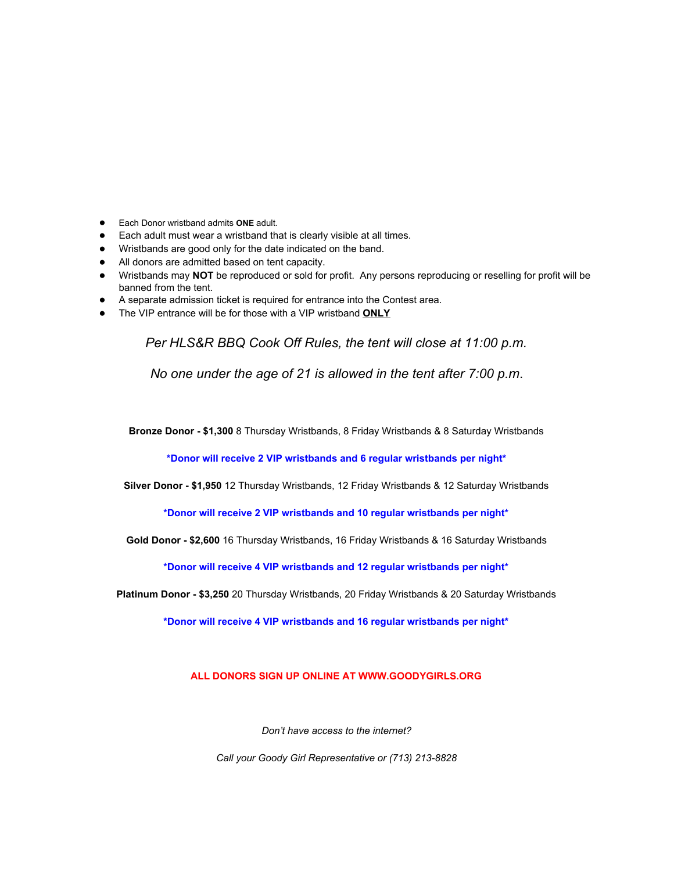- Each Donor wristband admits **ONE** adult.
- Each adult must wear a wristband that is clearly visible at all times.
- Wristbands are good only for the date indicated on the band.
- All donors are admitted based on tent capacity.
- Wristbands may **NOT** be reproduced or sold for profit. Any persons reproducing or reselling for profit will be banned from the tent.
- A separate admission ticket is required for entrance into the Contest area.
- The VIP entrance will be for those with a VIP wristband **ONLY**

*Per HLS&R BBQ Cook Off Rules, the tent will close at 11:00 p.m.*

*No one under the age of 21 is allowed in the tent after 7:00 p.m*.

**Bronze Donor - \$1,300** 8 Thursday Wristbands, 8 Friday Wristbands & 8 Saturday Wristbands

**\*Donor will receive 2 VIP wristbands and 6 regular wristbands per night\***

**Silver Donor - \$1,950** 12 Thursday Wristbands, 12 Friday Wristbands & 12 Saturday Wristbands

**\*Donor will receive 2 VIP wristbands and 10 regular wristbands per night\***

**Gold Donor - \$2,600** 16 Thursday Wristbands, 16 Friday Wristbands & 16 Saturday Wristbands

**\*Donor will receive 4 VIP wristbands and 12 regular wristbands per night\***

**Platinum Donor - \$3,250** 20 Thursday Wristbands, 20 Friday Wristbands & 20 Saturday Wristbands

**\*Donor will receive 4 VIP wristbands and 16 regular wristbands per night\***

**ALL DONORS SIGN UP ONLINE AT WWW.GOODYGIRLS.ORG**

*Don't have access to the internet?*

*Call your Goody Girl Representative or (713) 213-8828*